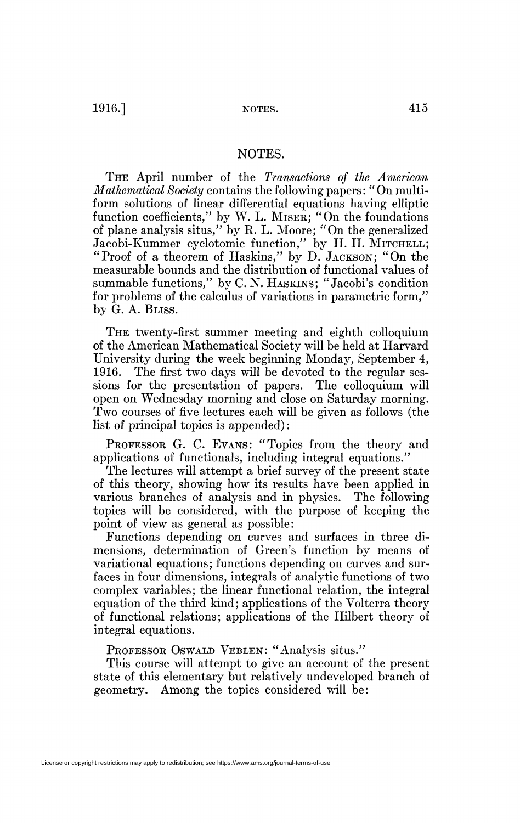$1916.$ ] NOTES. 415

## NOTES.

THE April number of the *Transactions of the American Mathematical Society* contains the following papers : " On multiform solutions of linear differential equations having elliptic function coefficients," by W. L. MISER; "On the foundations of plane analysis situs," by R. L. Moore; "On the generalized Jacobi-Kummer cyclotomic function," by H. H. MITCHELL; "Proof of a theorem of Haskins," by D. JACKSON; "On the measurable bounds and the distribution of functional values of summable functions," by C. N. HASKINS; "Jacobi's condition for problems of the calculus of variations in parametric form," by G. A. BLISS.

THE twenty-first summer meeting and eighth colloquium of the American Mathematical Society will be held at Harvard University during the week beginning Monday, September 4, 1916. The first two days will be devoted to the regular sessions for the presentation of papers. The colloquium will open on Wednesday morning and close on Saturday morning. Two courses of five lectures each will be given as follows (the list of principal topics is appended) :

PROFESSOR G. C. EVANS: "Topics from the theory and applications of functionals, including integral equations."

The lectures will attempt a brief survey of the present state of this theory, showing how its results have been applied in various branches of analysis and in physics. The following topics will be considered, with the purpose of keeping the point of view as general as possible:

Functions depending on curves and surfaces in three dimensions, determination of Green's function by means of variational equations; functions depending on curves and surfaces in four dimensions, integrals of analytic functions of two complex variables; the linear functional relation, the integral equation of the third kind; applications of the Volterra theory of functional relations; applications of the Hubert theory of integral equations.

PROFESSOR OSWALD VEBLEN: "Analysis situs."

This course will attempt to give an account of the present state of this elementary but relatively undeveloped branch of geometry. Among the topics considered will be: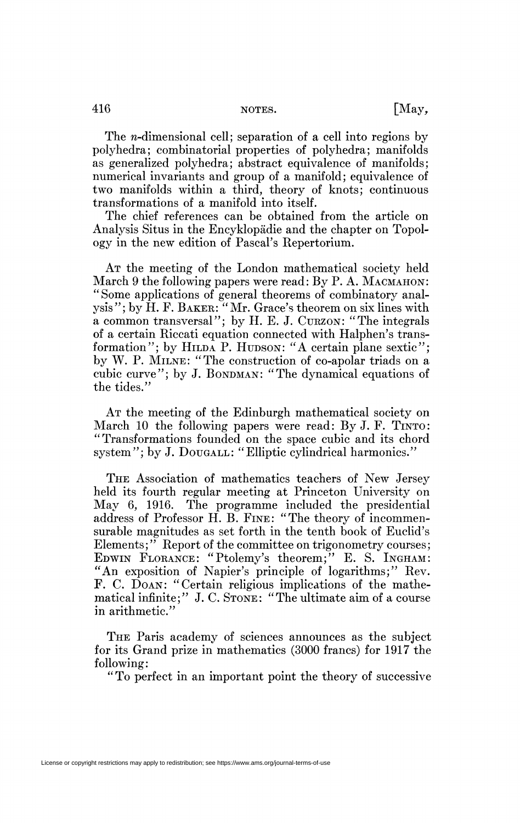The *n*-dimensional cell; separation of a cell into regions by polyhedra; combinatorial properties of polyhedra; manifolds as generalized polyhedra; abstract equivalence of manifolds; numerical invariants and group of a manifold; equivalence of two manifolds within a third, theory of knots; continuous transformations of a manifold into itself.

The chief references can be obtained from the article on Analysis Situs in the Encyklopâdie and the chapter on Topology in the new edition of Pascal's Repertorium.

AT the meeting of the London mathematical society held March 9 the following papers were read: By P. A. MACMAHON: "Some applications of general theorems of combinatory analysis"; by H. F. BAKER: "Mr. Grace's theorem on six lines with a common transversal"; by H. E. J. CURZON: "The integrals of a certain Riccati equation connected with Halphen's transformation"; by HILDA P. HUDSON: "A certain plane sextic"; by W. P. MILNE: "The construction of co-apolar triads on a cubic curve"; by J. BONDMAN: "The dynamical equations of the tides."

AT the meeting of the Edinburgh mathematical society on March 10 the following papers were read: By J. F. TINTO: "Transformations founded on the space cubic and its chord system"; by J. DOUGALL: "Elliptic cylindrical harmonics."

THE Association of mathematics teachers of New Jersey held its fourth regular meeting at Princeton University on May 6, 1916. The programme included the presidential address of Professor H. B. FINE: "The theory of incommensurable magnitudes as set forth in the tenth book of Euclid's Elements;" Report of the committee on trigonometry courses; EDWIN FLORANCE: "Ptolemy's theorem;" E. S. INGHAM: "An exposition of Napier's principle of logarithms;" Rev. F. C. DOAN: "Certain religious implications of the mathematical infinite;" J. C. STONE: "The ultimate aim of a course in arithmetic."

THE Paris academy of sciences announces as the subject for its Grand prize in mathematics (3000 francs) for 1917 the following:

"To perfect in an important point the theory of successive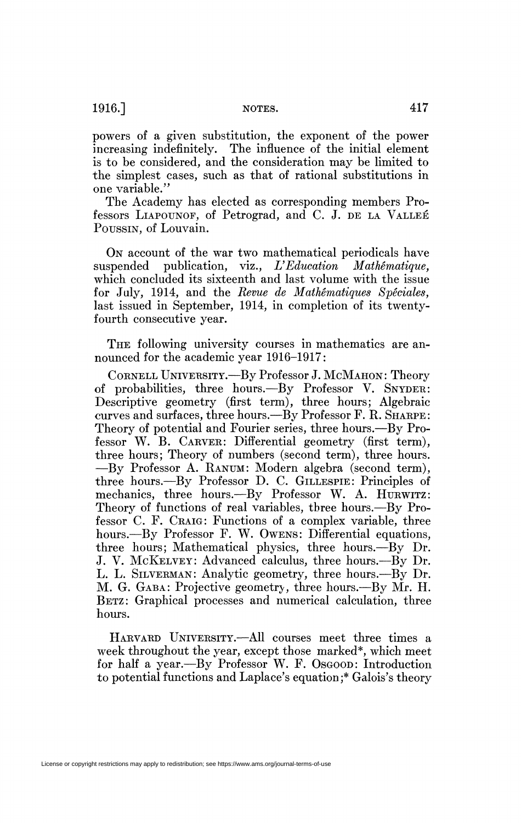1916.] NOTES. 417

powers of a given substitution, the exponent of the power increasing indefinitely. The influence of the initial element is to be considered, and the consideration may be limited to the simplest cases, such as that of rational substitutions in one variable."

The Academy has elected as corresponding members Professors LIAPOUNOF, of Petrograd, and C. J. DE LA VALLÉE POUSSIN, of Louvain.

O<sub>N</sub> account of the war two mathematical periodicals have suspended publication, viz., *U Education Mathématique,*  which concluded its sixteenth and last volume with the issue for July, 1914, and the *Revue de Mathématiques Spéciales,*  last issued in September, 1914, in completion of its twentyfourth consecutive year.

THE following university courses in mathematics are announced for the academic year 1916-1917:

CORNELL UNIVERSITY.—By Professor J. MCMAHON: Theory of probabilities, three hours.—By Professor V. SNYDER: Descriptive geometry (first term), three hours; Algebraic curves and surfaces, three hours.—By Professor F. R. SHARPE: Theory of potential and Fourier series, three hours.—By Professor W. B. CARVER: Differential geometry (first term), three hours; Theory of numbers (second term), three hours. —By Professor A. RANUM: Modern algebra (second term), three hours.—By Professor D. C. GILLESPIE: Principles of mechanics, three hours.--By Professor W. A. HURWITZ: Theory of functions of real variables, three hours.—By Professor C. F. CRAIG: Functions of a complex variable, three hours.—By Professor F. W. OWENS: Differential equations, three hours; Mathematical physics, three hours.—By Dr. J. V. MCKELVEY: Advanced calculus, three hours.—By Dr. L. L. SILVERMAN: Analytic geometry, three hours.—By Dr. M. G. GABA: Projective geometry, three hours.—By Mr. H. BETZ: Graphical processes and numerical calculation, three hours.

HARVARD UNIVERSITY.—All courses meet three times a week throughout the year, except those marked\*, which meet for half a year.—By Professor W. F. Osgoon: Introduction to potential functions and Laplace's equation ;\* Galois's theory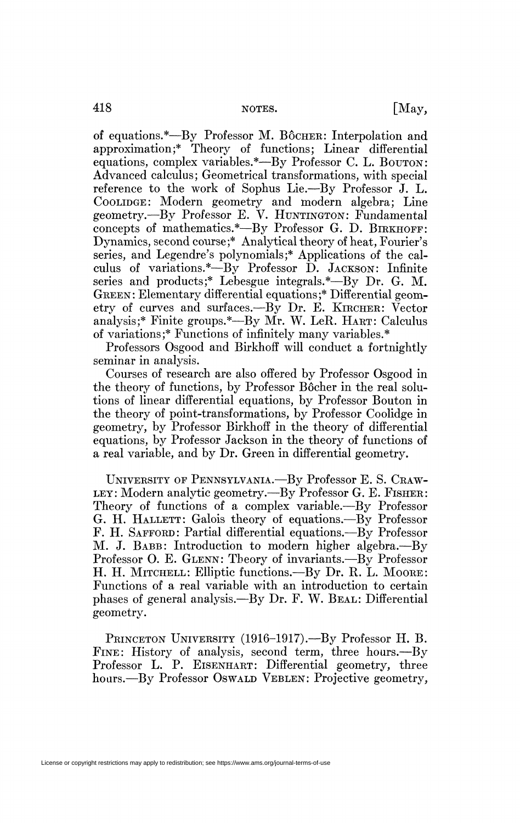of equations.\*—By Professor M. BÔCHER: Interpolation and approximation;\* Theory of functions; Linear differential equations, complex variables.\*—By Professor C. L. BOUTON: Advanced calculus; Geometrical transformations, with special reference to the work of Sophus Lie.—By Professor J. L. COOLIDGE: Modern geometry and modern algebra; Line geometry.—By Professor E. V. HUNTINGTON: Fundamental concepts of mathematics.\*—By Professor G. D. BIRKHOFF: Dynamics, second course;\* Analytical theory of heat, Fourier's series, and Legendre's polynomials;\* Applications of the calculus of variations.\*—By Professor D. JACKSON: Infinite series and products;\* Lebesgue integrals.\*—By Dr. G. M. GREEN: Elementary differential equations;\* Differential geometry of curves and surfaces.—By Dr. E. KIRCHER: Vector analysis;\* Finite groups.\*—By Mr. W. LeR. HART: Calculus of variations;\* Functions of infinitely many variables.\*

Professors Osgood and Birkhoff will conduct a fortnightly seminar in analysis.

Courses of research are also offered by Professor Osgood in the theory of functions, by Professor Bôcher in the real solutions of linear differential equations, by Professor Bouton in the theory of point-transformations, by Professor Coolidge in geometry, by Professor Birkhoff in the theory of differential equations, by Professor Jackson in the theory of functions of a real variable, and by Dr. Green in differential geometry.

UNIVERSITY OF PENNSYLVANIA.—By Professor E. S. CRAW-LEY: Modern analytic geometry.—By Professor G. E. FISHER: Theory of functions of a complex variable.—By Professor G. H. HALLETT: Galois theory of equations.—By Professor F. H. SAFFORD: Partial differential equations.—By Professor M. J. BABB: Introduction to modern higher algebra.—By Professor O. E. GLENN: Theory of invariants.—By Professor H. H. MITCHELL: Elliptic functions.—By Dr. R. L. MOORE: Functions of a real variable with an introduction to certain phases of general analysis.—By Dr. F. W. BEAL: Differential geometry.

PRINCETON UNIVERSITY (1916-1917).—By Professor H. B. FINE: History of analysis, second term, three hours.—By Professor L. P. EISENHART: Differential geometry, three hours.—By Professor Oswald VEBLEN: Projective geometry,